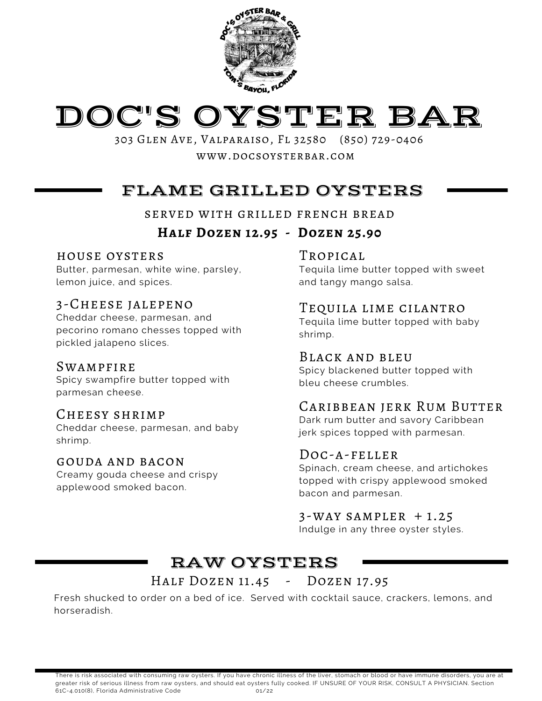



303 Glen Ave, Valparaiso, Fl 32580 (850) 729-0406 www.docsoysterbar.com

# FLAME GRILLED OYSTERS

served with grilled french bread

### **Half Dozen 12.95 - Dozen 25.90**

#### house oysters

Butter, parmesan, white wine, parsley, lemon juice, and spices.

### 3-Cheese jalepeno

Cheddar cheese, parmesan, and pecorino romano chesses topped with pickled jalapeno slices.

#### **SWAMPFIRE**

Spicy swampfire butter topped with parmesan cheese.

### Cheesy shrimp

Cheddar cheese, parmesan, and baby shrimp.

#### gouda and bacon

Creamy gouda cheese and crispy applewood smoked bacon.

### TROPICAL

Tequila lime butter topped with sweet and tangy mango salsa.

### Tequila lime cilantro

Tequila lime butter topped with baby shrimp.

### Black and bleu

Spicy blackened butter topped with bleu cheese crumbles.

### Caribbean jerk Rum Butter

Dark rum butter and savory Caribbean jerk spices topped with parmesan.

### Doc-a-feller

Spinach, cream cheese, and artichokes topped with crispy applewood smoked bacon and parmesan.

#### $3-WAY$  SAMPLER  $+1.25$

Indulge in any three oyster styles.

## RAW OYSTERS

### HALF DOZEN 11.45 - DOZEN 17.95

Fresh shucked to order on a bed of ice. Served with cocktail sauce, crackers, lemons, and horseradish.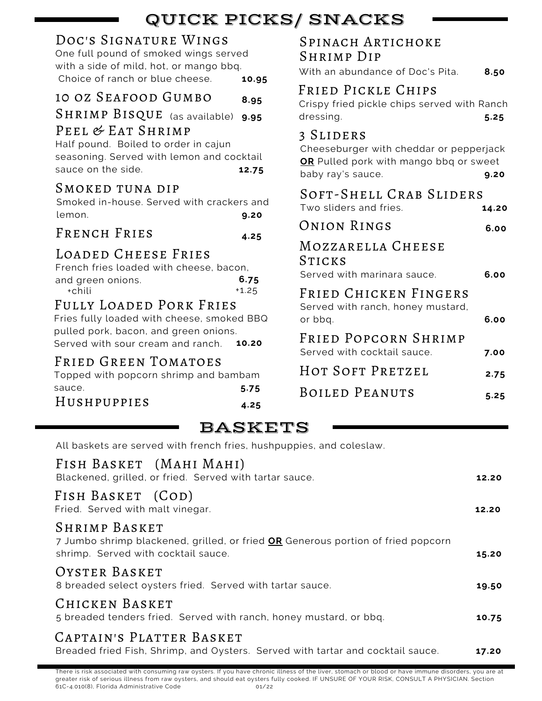# QUICK PICKS/ SNACKS

### Doc's Signature Wings

One full pound of smoked wings served with a side of mild, hot, or mango bbq. Choice of ranch or blue cheese. **10.95**

### 10 oz Seafood Gumbo **8.95**

SHRIMP BISQUE (as available) 9.95 PEEL & EAT SHRIMP

Half pound. Boiled to order in cajun seasoning. Served with lemon and cocktail sauce on the side. **12.75** 

### SMOKED TUNA DIP

Smoked in-house. Served with crackers and lemon. **9.20**

French Fries **4.25**

### Loaded Cheese Fries

| French fries loaded with cheese, bacon, |         |
|-----------------------------------------|---------|
| and green onions.                       | 6.75    |
| +chili                                  | $+1.25$ |

### Fully Loaded Pork Fries

Fries fully loaded with cheese, smoked BBQ pulled pork, bacon, and green onions. Served with sour cream and ranch. **10.20**

### Fried Green Tomatoes

**5.75** Topped with popcorn shrimp and bambam sauce.

### Hushpuppies **4.25**

| <b>SPINACH ARTICHOKE</b> |  |
|--------------------------|--|
| <b>SHRIMP DIP</b>        |  |

With an abundance of Doc's Pita. **8.50**

### Fried Pickle Chips

Crispy fried pickle chips served with Ranch dressing. **5.25**

### 3 Sliders

Cheeseburger with cheddar or pepperjack **OR** Pulled pork with mango bbq or sweet baby ray's sauce. **9.20**

| SOFT-SHELL CRAB SLIDERS                                               |       |  |  |
|-----------------------------------------------------------------------|-------|--|--|
| Two sliders and fries.                                                | 14.20 |  |  |
| ONION RINGS                                                           | 6.00  |  |  |
| MOZZARELLA CHEESE<br>STICKS<br>Served with marinara sauce.            | 6.00  |  |  |
| FRIED CHICKEN FINGERS<br>Served with ranch, honey mustard,<br>or bbq. | 6.00  |  |  |
| FRIED POPCORN SHRIMP<br>Served with cocktail sauce.                   | 7.00  |  |  |
| HOT SOFT PRETZEL                                                      | 2.75  |  |  |
| <b>BOILED PEANUTS</b>                                                 | 5.25  |  |  |

# BASKETS

All baskets are served with french fries, hushpuppies, and coleslaw.

| FISH BASKET (MAHI MAHI)<br>Blackened, grilled, or fried. Served with tartar sauce.                                                              | 12.20 |
|-------------------------------------------------------------------------------------------------------------------------------------------------|-------|
| FISH BASKET (COD)<br>Fried. Served with malt vinegar.                                                                                           | 12.20 |
| <b>SHRIMP BASKET</b><br>7 Jumbo shrimp blackened, grilled, or fried OR Generous portion of fried popcorn<br>shrimp. Served with cocktail sauce. | 15.20 |
| OYSTER BASKET<br>8 breaded select oysters fried. Served with tartar sauce.                                                                      | 19.50 |
| CHICKEN BASKET<br>5 breaded tenders fried. Served with ranch, honey mustard, or bbq.                                                            | 10.75 |
| CAPTAIN'S PLATTER BASKET<br>Breaded fried Fish, Shrimp, and Oysters. Served with tartar and cocktail sauce.                                     | 17.20 |

There is risk associated with consuming raw oysters. If you have chronic illness of the liver, stomach or blood or have immune disorders, you are at greater risk of serious illness from raw oysters, and should eat oysters fully cooked. IF UNSURE OF YOUR RISK, CONSULT A PHYSICIAN. Section 61C-4.010(8), Florida Administrative Code 01/22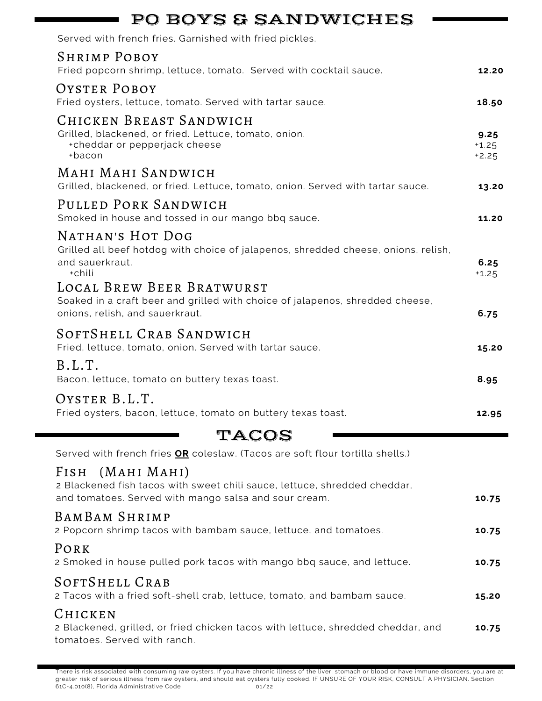| <b>PO BOYS &amp; SANDWICHES</b>                                                                                                                           |                            |
|-----------------------------------------------------------------------------------------------------------------------------------------------------------|----------------------------|
| Served with french fries. Garnished with fried pickles.                                                                                                   |                            |
| <b>SHRIMP POBOY</b><br>Fried popcorn shrimp, lettuce, tomato. Served with cocktail sauce.                                                                 | 12.20                      |
| OYSTER POBOY<br>Fried oysters, lettuce, tomato. Served with tartar sauce.                                                                                 | 18.50                      |
| CHICKEN BREAST SANDWICH<br>Grilled, blackened, or fried. Lettuce, tomato, onion.<br>+cheddar or pepperjack cheese<br>+bacon                               | 9.25<br>$+1.25$<br>$+2.25$ |
| MAHI MAHI SANDWICH<br>Grilled, blackened, or fried. Lettuce, tomato, onion. Served with tartar sauce.                                                     | 13.20                      |
| PULLED PORK SANDWICH<br>Smoked in house and tossed in our mango bbq sauce.                                                                                | 11.20                      |
| NATHAN'S HOT DOG<br>Grilled all beef hotdog with choice of jalapenos, shredded cheese, onions, relish,<br>and sauerkraut.<br>+chili                       | 6.25<br>$+1.25$            |
| LOCAL BREW BEER BRATWURST<br>Soaked in a craft beer and grilled with choice of jalapenos, shredded cheese,<br>onions, relish, and sauerkraut.             | 6.75                       |
| SOFTSHELL CRAB SANDWICH<br>Fried, lettuce, tomato, onion. Served with tartar sauce.                                                                       | 15.20                      |
| B.L.T.<br>Bacon, lettuce, tomato on buttery texas toast.                                                                                                  | 8.95                       |
| OYSTER B.L.T.<br>Fried oysters, bacon, lettuce, tomato on buttery texas toast.                                                                            | 12.95                      |
| <b>TACOS</b>                                                                                                                                              |                            |
| Served with french fries OR coleslaw. (Tacos are soft flour tortilla shells.)                                                                             |                            |
| (MAHI MAHI)<br>Fish<br>2 Blackened fish tacos with sweet chili sauce, lettuce, shredded cheddar,<br>and tomatoes. Served with mango salsa and sour cream. | 10.75                      |
| BAMBAM SHRIMP<br>2 Popcorn shrimp tacos with bambam sauce, lettuce, and tomatoes.                                                                         | 10.75                      |
| PORK<br>2 Smoked in house pulled pork tacos with mango bbq sauce, and lettuce.                                                                            | 10.75                      |
| SOFTSHELL CRAB<br>2 Tacos with a fried soft-shell crab, lettuce, tomato, and bambam sauce.                                                                | 15.20                      |
| CHICKEN<br>2 Blackened, grilled, or fried chicken tacos with lettuce, shredded cheddar, and<br>tomatoes. Served with ranch.                               | 10.75                      |